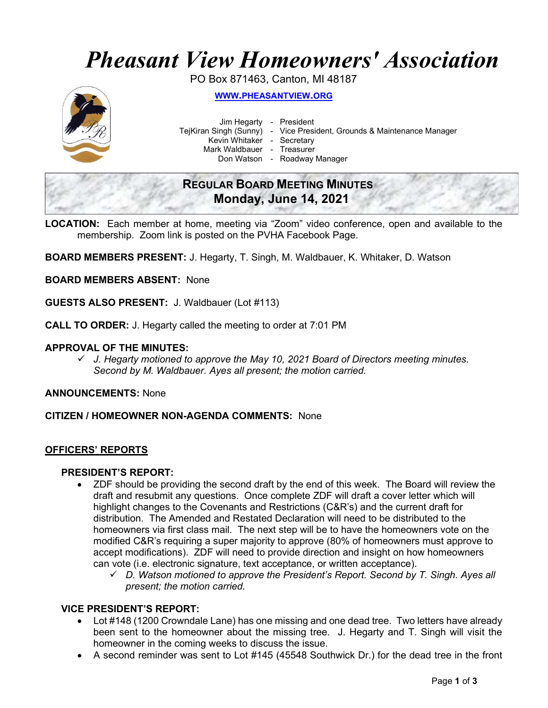# Pheasant View Homeowners' Association

PO Box 871463, Canton, MI 48187



WWW.PHEASANTVIEW.ORG

Jim Hegarty - President

TejKiran Singh (Sunny) - Vice President, Grounds & Maintenance Manager

Kevin Whitaker - Secretary

Mark Waldbauer - Treasurer

Don Watson - Roadway Manager

# REGULAR BOARD MEETING MINUTES Monday, June 14, 2021

LOCATION: Each member at home, meeting via "Zoom" video conference, open and available to the membership. Zoom link is posted on the PVHA Facebook Page.

BOARD MEMBERS PRESENT: J. Hegarty, T. Singh, M. Waldbauer, K. Whitaker, D. Watson

BOARD MEMBERS ABSENT: None

GUESTS ALSO PRESENT: J. Waldbauer (Lot #113)

CALL TO ORDER: J. Hegarty called the meeting to order at 7:01 PM

#### APPROVAL OF THE MINUTES:

 $\checkmark$  J. Hegarty motioned to approve the May 10, 2021 Board of Directors meeting minutes. Second by M. Waldbauer. Ayes all present; the motion carried.

ANNOUNCEMENTS: None

CITIZEN / HOMEOWNER NON-AGENDA COMMENTS: None

#### OFFICERS' REPORTS

#### PRESIDENT'S REPORT:

- ZDF should be providing the second draft by the end of this week. The Board will review the draft and resubmit any questions. Once complete ZDF will draft a cover letter which will highlight changes to the Covenants and Restrictions (C&R's) and the current draft for distribution. The Amended and Restated Declaration will need to be distributed to the homeowners via first class mail. The next step will be to have the homeowners vote on the modified C&R's requiring a super majority to approve (80% of homeowners must approve to accept modifications). ZDF will need to provide direction and insight on how homeowners can vote (i.e. electronic signature, text acceptance, or written acceptance).
	- $\checkmark$  D. Watson motioned to approve the President's Report. Second by T. Singh. Ayes all present; the motion carried.

#### VICE PRESIDENT'S REPORT:

- Lot #148 (1200 Crowndale Lane) has one missing and one dead tree. Two letters have already been sent to the homeowner about the missing tree. J. Hegarty and T. Singh will visit the homeowner in the coming weeks to discuss the issue.
- A second reminder was sent to Lot #145 (45548 Southwick Dr.) for the dead tree in the front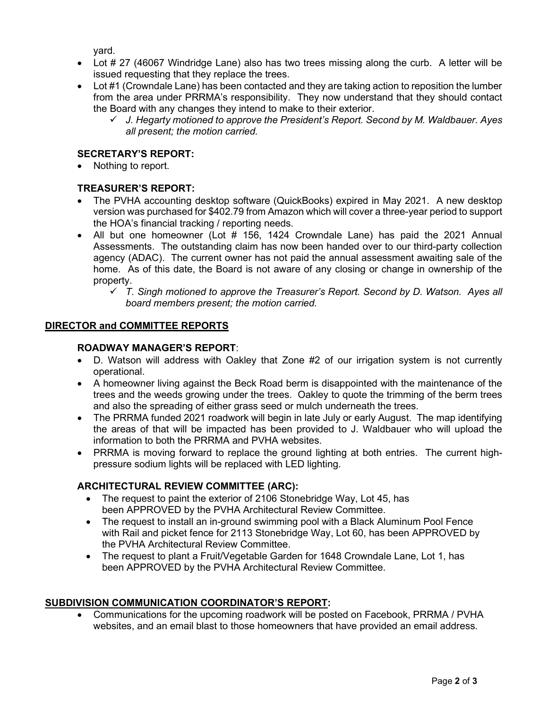yard.

- Lot # 27 (46067 Windridge Lane) also has two trees missing along the curb. A letter will be issued requesting that they replace the trees.
- Lot #1 (Crowndale Lane) has been contacted and they are taking action to reposition the lumber from the area under PRRMA's responsibility. They now understand that they should contact the Board with any changes they intend to make to their exterior.
	- $\checkmark$  J. Hegarty motioned to approve the President's Report. Second by M. Waldbauer. Ayes all present; the motion carried.

# SECRETARY'S REPORT:

Nothing to report.

# TREASURER'S REPORT:

- The PVHA accounting desktop software (QuickBooks) expired in May 2021. A new desktop version was purchased for \$402.79 from Amazon which will cover a three-year period to support the HOA's financial tracking / reporting needs.
- All but one homeowner (Lot # 156, 1424 Crowndale Lane) has paid the 2021 Annual Assessments. The outstanding claim has now been handed over to our third-party collection agency (ADAC). The current owner has not paid the annual assessment awaiting sale of the home. As of this date, the Board is not aware of any closing or change in ownership of the property.
	- $\checkmark$  T. Singh motioned to approve the Treasurer's Report. Second by D. Watson. Ayes all board members present; the motion carried.

#### DIRECTOR and COMMITTEE REPORTS

#### ROADWAY MANAGER'S REPORT:

- D. Watson will address with Oakley that Zone #2 of our irrigation system is not currently operational.
- A homeowner living against the Beck Road berm is disappointed with the maintenance of the trees and the weeds growing under the trees. Oakley to quote the trimming of the berm trees and also the spreading of either grass seed or mulch underneath the trees.
- The PRRMA funded 2021 roadwork will begin in late July or early August. The map identifying the areas of that will be impacted has been provided to J. Waldbauer who will upload the information to both the PRRMA and PVHA websites.
- PRRMA is moving forward to replace the ground lighting at both entries. The current highpressure sodium lights will be replaced with LED lighting.

# ARCHITECTURAL REVIEW COMMITTEE (ARC):

- The request to paint the exterior of 2106 Stonebridge Way, Lot 45, has been APPROVED by the PVHA Architectural Review Committee.
- The request to install an in-ground swimming pool with a Black Aluminum Pool Fence with Rail and picket fence for 2113 Stonebridge Way, Lot 60, has been APPROVED by the PVHA Architectural Review Committee.
- The request to plant a Fruit/Vegetable Garden for 1648 Crowndale Lane, Lot 1, has been APPROVED by the PVHA Architectural Review Committee.

# SUBDIVISION COMMUNICATION COORDINATOR'S REPORT:

 Communications for the upcoming roadwork will be posted on Facebook, PRRMA / PVHA websites, and an email blast to those homeowners that have provided an email address.